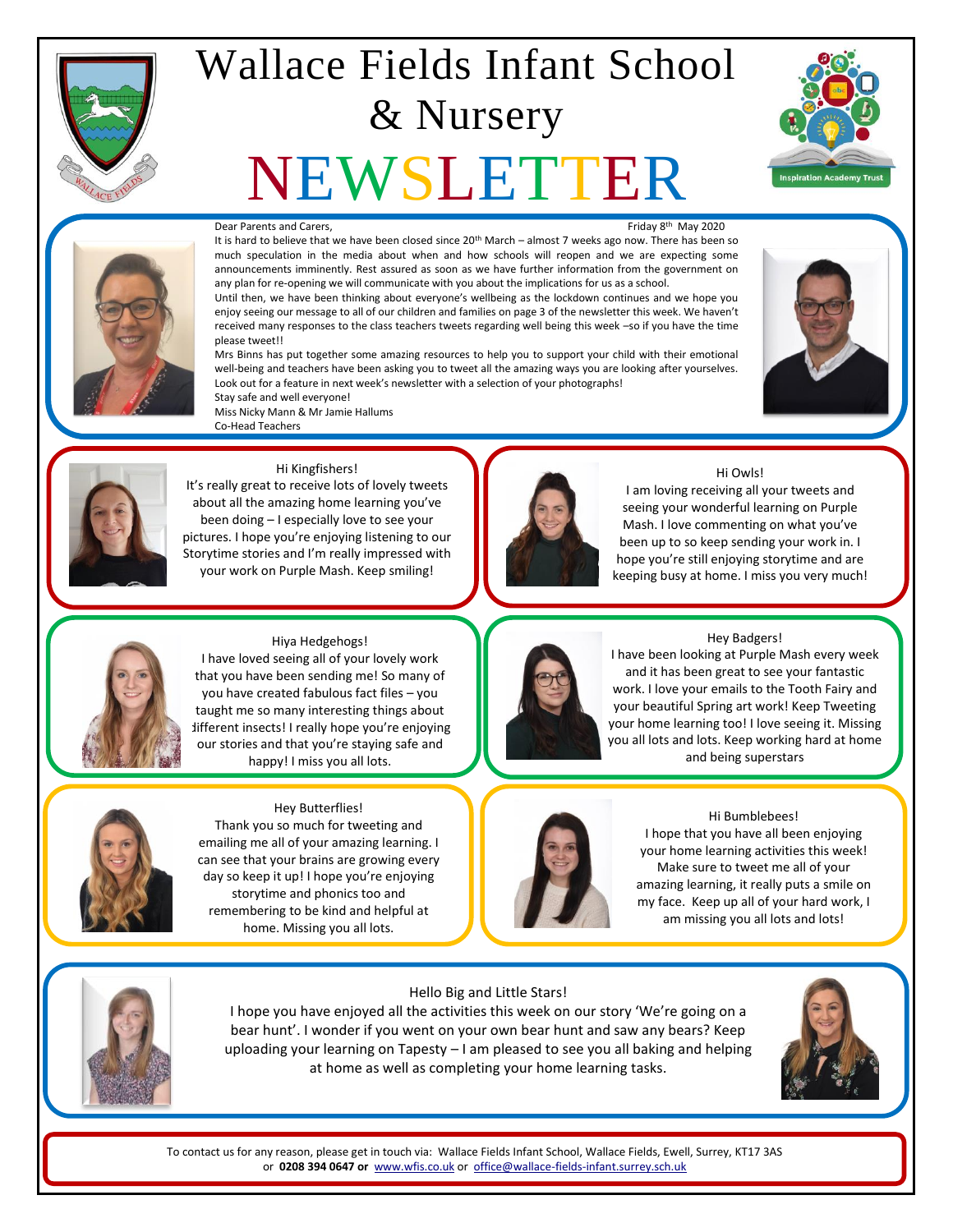

## Wallace Fields Infant School & Nursery

# NEWSLETTER





#### Dear Parents and Carers,

Friday 8<sup>th</sup> May 2020 It is hard to believe that we have been closed since 20<sup>th</sup> March – almost 7 weeks ago now. There has been so much speculation in the media about when and how schools will reopen and we are expecting some announcements imminently. Rest assured as soon as we have further information from the government on any plan for re-opening we will communicate with you about the implications for us as a school.

Until then, we have been thinking about everyone's wellbeing as the lockdown continues and we hope you enjoy seeing our message to all of our children and families on page 3 of the newsletter this week. We haven't received many responses to the class teachers tweets regarding well being this week –so if you have the time please tweet!!

Mrs Binns has put together some amazing resources to help you to support your child with their emotional well-being and teachers have been asking you to tweet all the amazing ways you are looking after yourselves. Look out for a feature in next week's newsletter with a selection of your photographs! Stay safe and well everyone!





#### Hi Kingfishers!

Miss Nicky Mann & Mr Jamie Hallums

Co-Head Teachers

It's really great to receive lots of lovely tweets about all the amazing home learning you've been doing – I especially love to see your pictures. I hope you're enjoying listening to our Storytime stories and I'm really impressed with your work on Purple Mash. Keep smiling!



#### Hi Owls!

I am loving receiving all your tweets and seeing your wonderful learning on Purple Mash. I love commenting on what you've been up to so keep sending your work in. I hope you're still enjoying storytime and are keeping busy at home. I miss you very much!



#### Hiya Hedgehogs!

I have loved seeing all of your lovely work that you have been sending me! So many of you have created fabulous fact files – you taught me so many interesting things about different insects! I really hope you're enjoying our stories and that you're staying safe and happy! I miss you all lots.



#### Hey Butterflies!

Thank you so much for tweeting and emailing me all of your amazing learning. I can see that your brains are growing every day so keep it up! I hope you're enjoying storytime and phonics too and remembering to be kind and helpful at home. Missing you all lots.



Hey Badgers!

I have been looking at Purple Mash every week and it has been great to see your fantastic work. I love your emails to the Tooth Fairy and your beautiful Spring art work! Keep Tweeting your home learning too! I love seeing it. Missing you all lots and lots. Keep working hard at home and being superstars



#### Hi Bumblebees! I hope that you have all been enjoying your home learning activities this week! Make sure to tweet me all of your amazing learning, it really puts a smile on my face. Keep up all of your hard work, I am missing you all lots and lots!



I hope you have enjoyed all the activities this week on our story 'We're going on a bear hunt'. I wonder if you went on your own bear hunt and saw any bears? Keep uploading your learning on Tapesty – I am pleased to see you all baking and helping

at home as well as completing your home learning tasks.



To contact us for any reason, please get in touch via: Wallace Fields Infant School, Wallace Fields, Ewell, Surrey, KT17 3AS or **0208 394 0647 or** [www.wfis.co.uk](http://www.wfis.co.uk/) or [office@wallace-fields-infant.surrey.sch.uk](mailto:office@wallace-fields-infant.surrey.sch.uk)

#### Hello Big and Little Stars!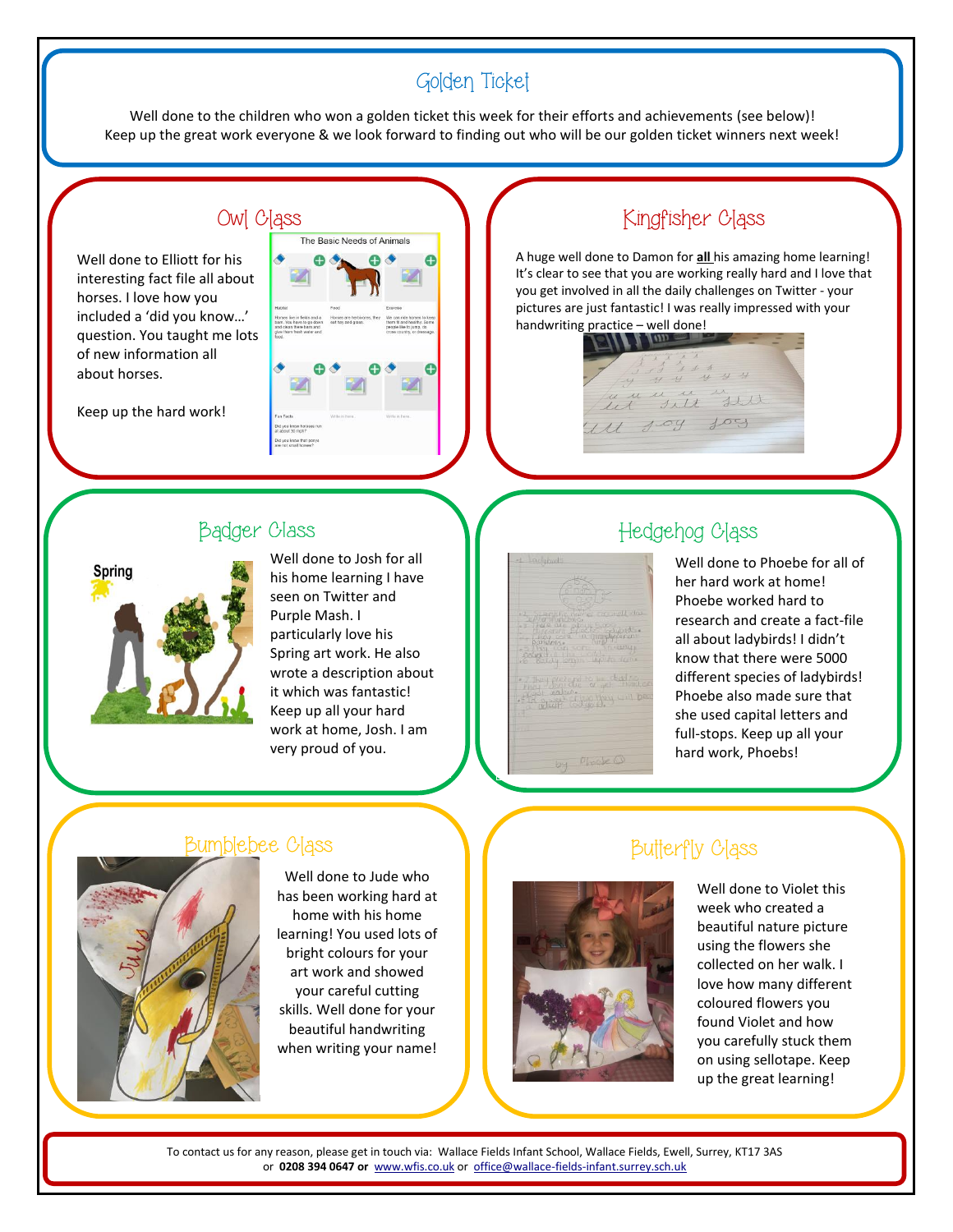## Golden Ticket

Well done to the children who won a golden ticket this week for their efforts and achievements (see below)! Keep up the great work everyone & we look forward to finding out who will be our golden ticket winners next week!

#### Owl C

Well done to Elliott for his interesting fact file all about horses. I love how you included a 'did you know…' question. You taught me lots of new information all about horses.

Keep up the hard work!

|                                                                                                                                        | The Basic Needs of Animals                                |                                                                                                                                |
|----------------------------------------------------------------------------------------------------------------------------------------|-----------------------------------------------------------|--------------------------------------------------------------------------------------------------------------------------------|
| Habitet<br>Horses live in fields and a<br>barn. You have to go down.<br>and clean there barn and<br>give them fresh water and<br>food. | Food<br>Horses are herbivores, they<br>eat hay and grass. | Exercise<br>We can ride horses to keep<br>them fit and healthy. Some<br>people like to jump, do<br>cross country, or dressage. |
|                                                                                                                                        |                                                           |                                                                                                                                |
| Fun Facts<br>Did you know horsses run<br>at about 30 mph?<br>Did you know that ponys                                                   | Witte in hore.                                            | Write in here.                                                                                                                 |

#### Badger Class



Well done to Josh for all his home learning I have seen on Twitter and Purple Mash. I particularly love his Spring art work. He also wrote a description about it which was fantastic! Keep up all your hard work at home, Josh. I am very proud of you.

## Kingfisher Class

A huge well done to Damon for **all** his amazing home learning! It's clear to see that you are working really hard and I love that you get involved in all the daily challenges on Twitter - your pictures are just fantastic! I was really impressed with your handwriting practice – well done!

 $4444$ Lunne un ill 1.09 fog

## Hedgehog Class

Well done to Phoebe for all of her hard work at home! Phoebe worked hard to research and create a fact-file all about ladybirds! I didn't know that there were 5000 different species of ladybirds! Phoebe also made sure that she used capital letters and full-stops. Keep up all your hard work, Phoebs!

#### Bumblebee Class



Well done to Jude who has been working hard at home with his home learning! You used lots of bright colours for your art work and showed your careful cutting skills. Well done for your beautiful handwriting when writing your name!

#### Butterfly Class



Well done to Violet this week who created a beautiful nature picture using the flowers she collected on her walk. I love how many different coloured flowers you found Violet and how you carefully stuck them on using sellotape. Keep up the great learning!

To contact us for any reason, please get in touch via: Wallace Fields Infant School, Wallace Fields, Ewell, Surrey, KT17 3AS or **0208 394 0647 or** [www.wfis.co.uk](http://www.wfis.co.uk/) or [office@wallace-fields-infant.surrey.sch.uk](mailto:office@wallace-fields-infant.surrey.sch.uk)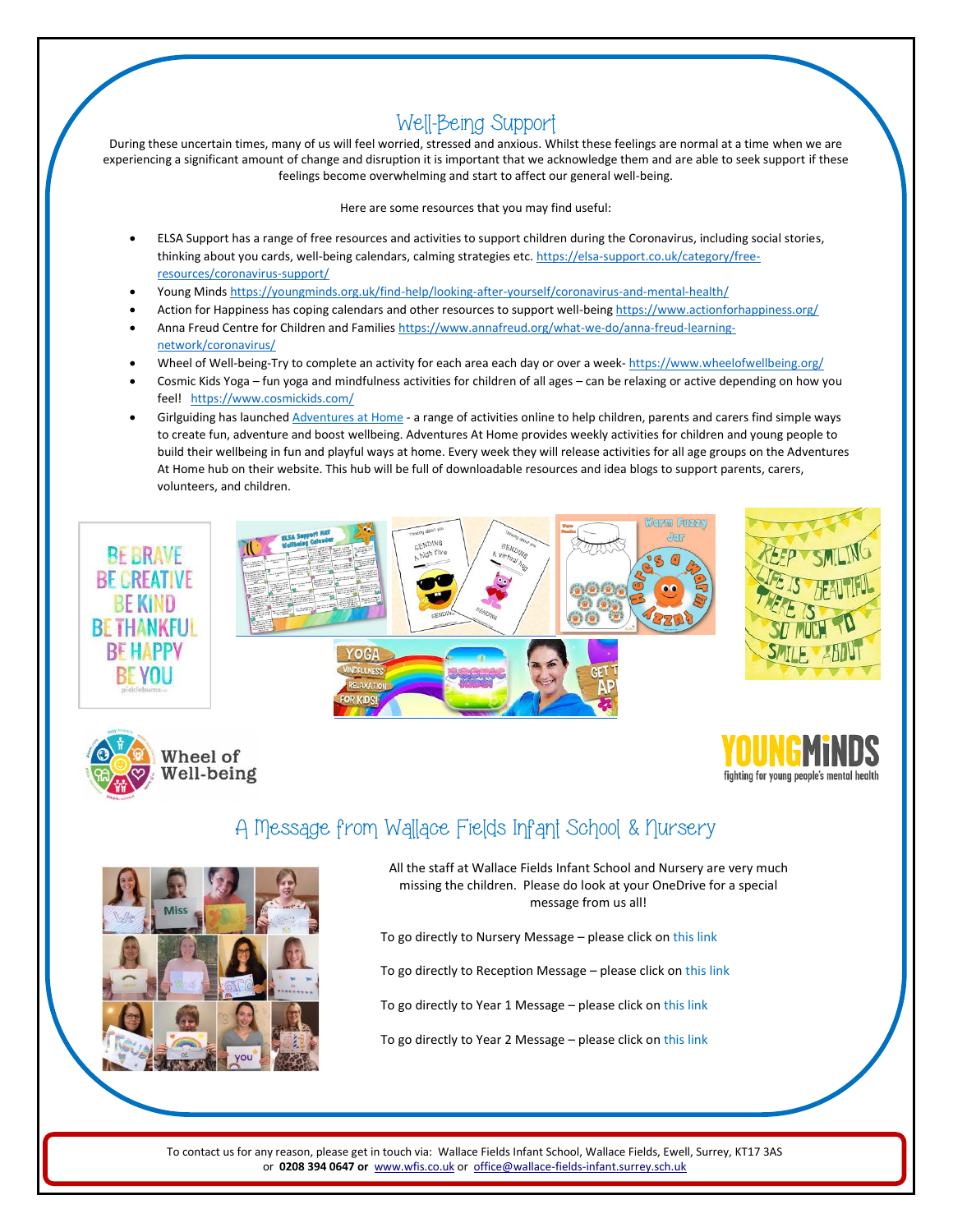## Well-Being Support

During these uncertain times, many of us will feel worried, stressed and anxious. Whilst these feelings are normal at a time when we are experiencing a significant amount of change and disruption it is important that we acknowledge them and are able to seek support if these feelings become overwhelming and start to affect our general well-being.

Here are some resources that you may find useful:

- ELSA Support has a range of free resources and activities to support children during the Coronavirus, including social stories, thinking about you cards, well-being calendars, calming strategies etc. [https://elsa-support.co.uk/category/free](https://elsa-support.co.uk/category/free-resources/coronavirus-support/)[resources/coronavirus-support/](https://elsa-support.co.uk/category/free-resources/coronavirus-support/)
- Young Mind[s https://youngminds.org.uk/find-help/looking-after-yourself/coronavirus-and-mental-health/](https://youngminds.org.uk/find-help/looking-after-yourself/coronavirus-and-mental-health/)
- Action for Happiness has coping calendars and other resources to support well-being<https://www.actionforhappiness.org/>
- Anna Freud Centre for Children and Familie[s https://www.annafreud.org/what-we-do/anna-freud-learning](https://www.annafreud.org/what-we-do/anna-freud-learning-network/coronavirus/)[network/coronavirus/](https://www.annafreud.org/what-we-do/anna-freud-learning-network/coronavirus/)
- Wheel of Well-being-Try to complete an activity for each area each day or over a week- <https://www.wheelofwellbeing.org/>
- Cosmic Kids Yoga fun yoga and mindfulness activities for children of all ages can be relaxing or active depending on how you feel! <https://www.cosmickids.com/>
- Girlguiding has launche[d Adventures at Home](https://www.girlguiding.org.uk/what-we-do/adventures-at-home/) a range of activities online to help children, parents and carers find simple ways to create fun, adventure and boost wellbeing. Adventures At Home provides weekly activities for children and young people to build their wellbeing in fun and playful ways at home. Every week they will release activities for all age groups on the Adventures At Home hub on their website. This hub will be full of downloadable resources and idea blogs to support parents, carers, volunteers, and children.







## A Message from Wallace Fields Infant School & Nursery



All the staff at Wallace Fields Infant School and Nursery are very much missing the children. Please do look at your OneDrive for a special message from us all!

To go directly to Nursery Message – please click o[n this link](https://wallacefieldsinfant-my.sharepoint.com/:i:/g/personal/collette_pasley_wallace-fields-infant_surrey_sch_uk/EeW1RudVAmNJjXD53CET7lMBjwEeVn-42LVEE8mtI0_T1g?e=Kk9xG6)

To go directly to Reception Message – please click o[n this link](https://wallacefieldsinfant-my.sharepoint.com/:v:/g/personal/collette_pasley_wallace-fields-infant_surrey_sch_uk/EVoCZKKxK-REj7oBDi2vVJcBPWO_JB0X2L6kef7L5cDs2g?e=ppPvl5)

To go directly to Year 1 Message - please click o[n this link](https://wallacefieldsinfant-my.sharepoint.com/:v:/g/personal/collette_pasley_wallace-fields-infant_surrey_sch_uk/ERfHFMW7DztFtv16fZpafhMBoISYSXGojTY69EgdZKx_zw?e=2R8m4U)

To go directly to Year 2 Message – please click o[n this link](https://wallacefieldsinfant-my.sharepoint.com/:v:/g/personal/collette_pasley_wallace-fields-infant_surrey_sch_uk/EeRXduCPe9VAptgt36ejj7MBW7smh3jXVWHxTbAfev2adw?e=vDz0Nc)

To contact us for any reason, please get in touch via: Wallace Fields Infant School, Wallace Fields, Ewell, Surrey, KT17 3AS or **0208 394 0647 or** [www.wfis.co.uk](http://www.wfis.co.uk/) or [office@wallace-fields-infant.surrey.sch.uk](mailto:office@wallace-fields-infant.surrey.sch.uk)